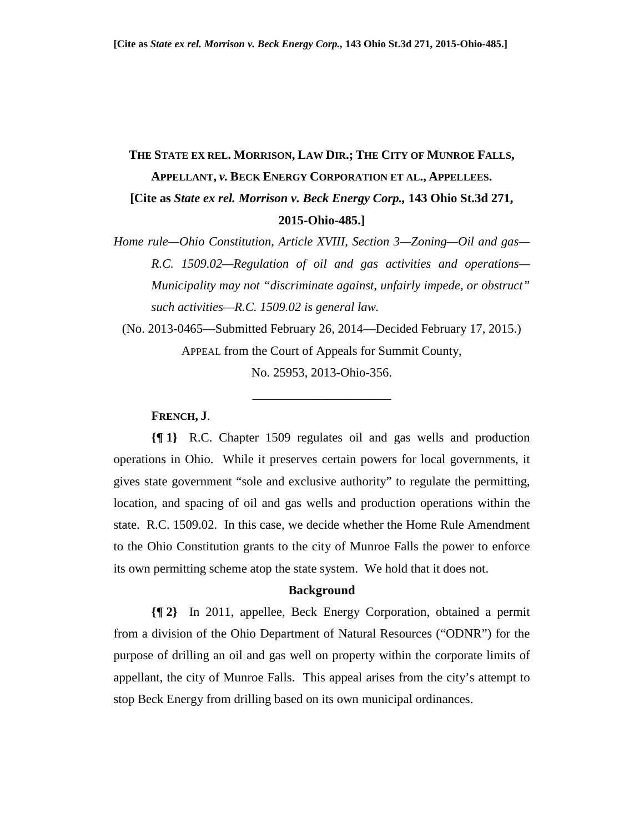# **THE STATE EX REL. MORRISON, LAW DIR.; THE CITY OF MUNROE FALLS, APPELLANT,** *v.* **BECK ENERGY CORPORATION ET AL., APPELLEES. [Cite as** *State ex rel. Morrison v. Beck Energy Corp.,* **143 Ohio St.3d 271, 2015-Ohio-485.]**

*Home rule—Ohio Constitution, Article XVIII, Section 3—Zoning—Oil and gas— R.C. 1509.02—Regulation of oil and gas activities and operations— Municipality may not "discriminate against, unfairly impede, or obstruct" such activities—R.C. 1509.02 is general law.*

(No. 2013-0465—Submitted February 26, 2014—Decided February 17, 2015.) APPEAL from the Court of Appeals for Summit County,

No. 25953, 2013-Ohio-356.

\_\_\_\_\_\_\_\_\_\_\_\_\_\_\_\_\_\_\_\_\_\_

# **FRENCH, J**.

**{¶ 1}** R.C. Chapter 1509 regulates oil and gas wells and production operations in Ohio. While it preserves certain powers for local governments, it gives state government "sole and exclusive authority" to regulate the permitting, location, and spacing of oil and gas wells and production operations within the state. R.C. 1509.02. In this case, we decide whether the Home Rule Amendment to the Ohio Constitution grants to the city of Munroe Falls the power to enforce its own permitting scheme atop the state system. We hold that it does not.

# **Background**

**{¶ 2}** In 2011, appellee, Beck Energy Corporation, obtained a permit from a division of the Ohio Department of Natural Resources ("ODNR") for the purpose of drilling an oil and gas well on property within the corporate limits of appellant, the city of Munroe Falls. This appeal arises from the city's attempt to stop Beck Energy from drilling based on its own municipal ordinances.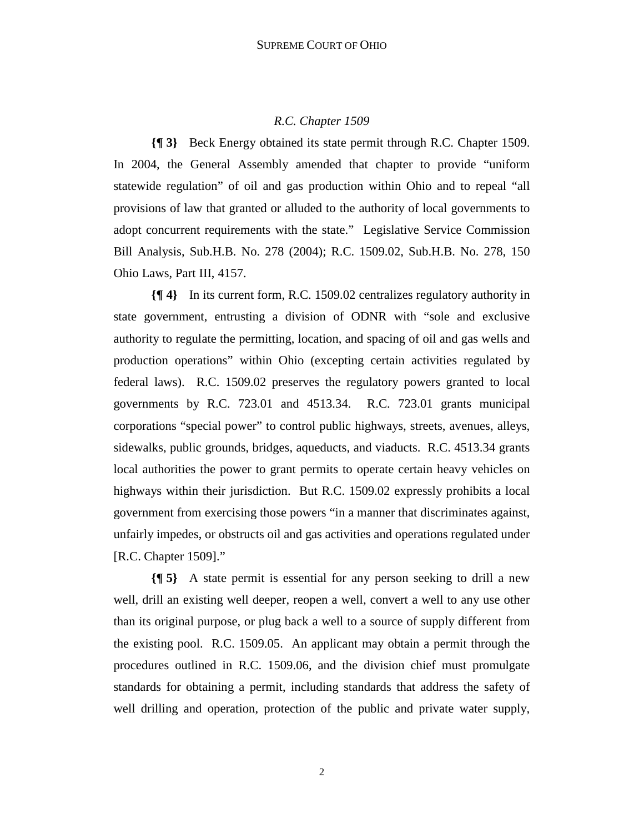# *R.C. Chapter 1509*

**{¶ 3}** Beck Energy obtained its state permit through R.C. Chapter 1509. In 2004, the General Assembly amended that chapter to provide "uniform statewide regulation" of oil and gas production within Ohio and to repeal "all provisions of law that granted or alluded to the authority of local governments to adopt concurrent requirements with the state." Legislative Service Commission Bill Analysis, Sub.H.B. No. 278 (2004); R.C. 1509.02, Sub.H.B. No. 278, 150 Ohio Laws, Part III, 4157.

**{¶ 4}** In its current form, R.C. 1509.02 centralizes regulatory authority in state government, entrusting a division of ODNR with "sole and exclusive authority to regulate the permitting, location, and spacing of oil and gas wells and production operations" within Ohio (excepting certain activities regulated by federal laws). R.C. 1509.02 preserves the regulatory powers granted to local governments by R.C. 723.01 and 4513.34. R.C. 723.01 grants municipal corporations "special power" to control public highways, streets, avenues, alleys, sidewalks, public grounds, bridges, aqueducts, and viaducts. R.C. 4513.34 grants local authorities the power to grant permits to operate certain heavy vehicles on highways within their jurisdiction. But R.C. 1509.02 expressly prohibits a local government from exercising those powers "in a manner that discriminates against, unfairly impedes, or obstructs oil and gas activities and operations regulated under [R.C. Chapter 1509]."

**{¶ 5}** A state permit is essential for any person seeking to drill a new well, drill an existing well deeper, reopen a well, convert a well to any use other than its original purpose, or plug back a well to a source of supply different from the existing pool. R.C. 1509.05. An applicant may obtain a permit through the procedures outlined in R.C. 1509.06, and the division chief must promulgate standards for obtaining a permit, including standards that address the safety of well drilling and operation, protection of the public and private water supply,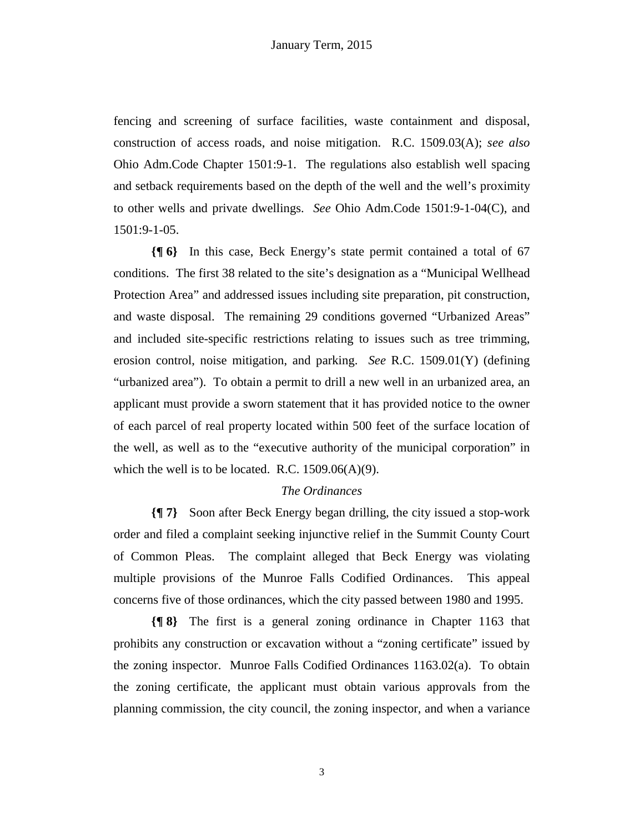fencing and screening of surface facilities, waste containment and disposal, construction of access roads, and noise mitigation. R.C. 1509.03(A); *see also* Ohio Adm.Code Chapter 1501:9-1. The regulations also establish well spacing and setback requirements based on the depth of the well and the well's proximity to other wells and private dwellings. *See* Ohio Adm.Code 1501:9-1-04(C), and 1501:9-1-05.

**{¶ 6}** In this case, Beck Energy's state permit contained a total of 67 conditions. The first 38 related to the site's designation as a "Municipal Wellhead Protection Area" and addressed issues including site preparation, pit construction, and waste disposal. The remaining 29 conditions governed "Urbanized Areas" and included site-specific restrictions relating to issues such as tree trimming, erosion control, noise mitigation, and parking. *See* R.C. 1509.01(Y) (defining "urbanized area"). To obtain a permit to drill a new well in an urbanized area, an applicant must provide a sworn statement that it has provided notice to the owner of each parcel of real property located within 500 feet of the surface location of the well, as well as to the "executive authority of the municipal corporation" in which the well is to be located. R.C.  $1509.06(A)(9)$ .

#### *The Ordinances*

**{¶ 7}** Soon after Beck Energy began drilling, the city issued a stop-work order and filed a complaint seeking injunctive relief in the Summit County Court of Common Pleas. The complaint alleged that Beck Energy was violating multiple provisions of the Munroe Falls Codified Ordinances. This appeal concerns five of those ordinances, which the city passed between 1980 and 1995.

**{¶ 8}** The first is a general zoning ordinance in Chapter 1163 that prohibits any construction or excavation without a "zoning certificate" issued by the zoning inspector. Munroe Falls Codified Ordinances 1163.02(a). To obtain the zoning certificate, the applicant must obtain various approvals from the planning commission, the city council, the zoning inspector, and when a variance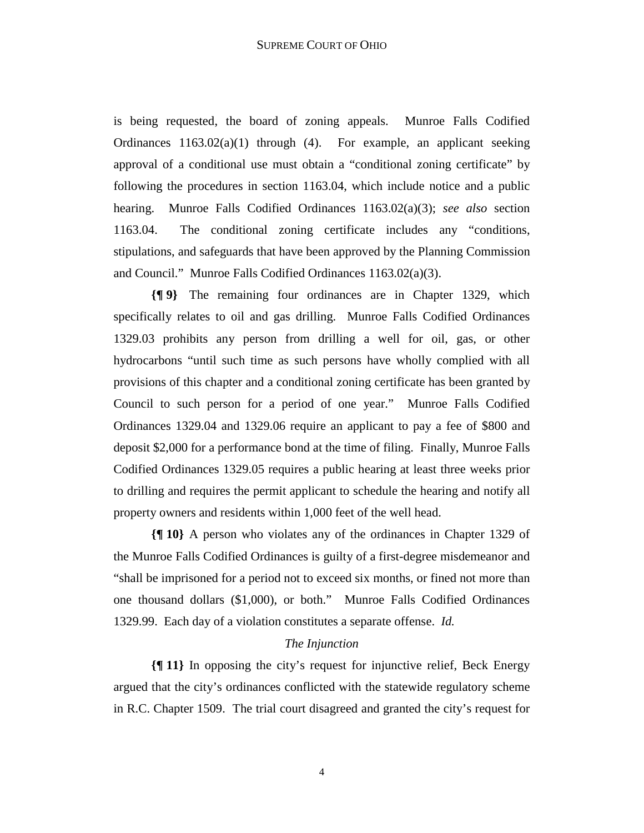is being requested, the board of zoning appeals. Munroe Falls Codified Ordinances 1163.02(a)(1) through (4). For example, an applicant seeking approval of a conditional use must obtain a "conditional zoning certificate" by following the procedures in section 1163.04, which include notice and a public hearing. Munroe Falls Codified Ordinances 1163.02(a)(3); *see also* section 1163.04. The conditional zoning certificate includes any "conditions, stipulations, and safeguards that have been approved by the Planning Commission and Council." Munroe Falls Codified Ordinances 1163.02(a)(3).

**{¶ 9}** The remaining four ordinances are in Chapter 1329, which specifically relates to oil and gas drilling. Munroe Falls Codified Ordinances 1329.03 prohibits any person from drilling a well for oil, gas, or other hydrocarbons "until such time as such persons have wholly complied with all provisions of this chapter and a conditional zoning certificate has been granted by Council to such person for a period of one year." Munroe Falls Codified Ordinances 1329.04 and 1329.06 require an applicant to pay a fee of \$800 and deposit \$2,000 for a performance bond at the time of filing. Finally, Munroe Falls Codified Ordinances 1329.05 requires a public hearing at least three weeks prior to drilling and requires the permit applicant to schedule the hearing and notify all property owners and residents within 1,000 feet of the well head.

**{¶ 10}** A person who violates any of the ordinances in Chapter 1329 of the Munroe Falls Codified Ordinances is guilty of a first-degree misdemeanor and "shall be imprisoned for a period not to exceed six months, or fined not more than one thousand dollars (\$1,000), or both." Munroe Falls Codified Ordinances 1329.99. Each day of a violation constitutes a separate offense. *Id.* 

#### *The Injunction*

**{¶ 11}** In opposing the city's request for injunctive relief, Beck Energy argued that the city's ordinances conflicted with the statewide regulatory scheme in R.C. Chapter 1509. The trial court disagreed and granted the city's request for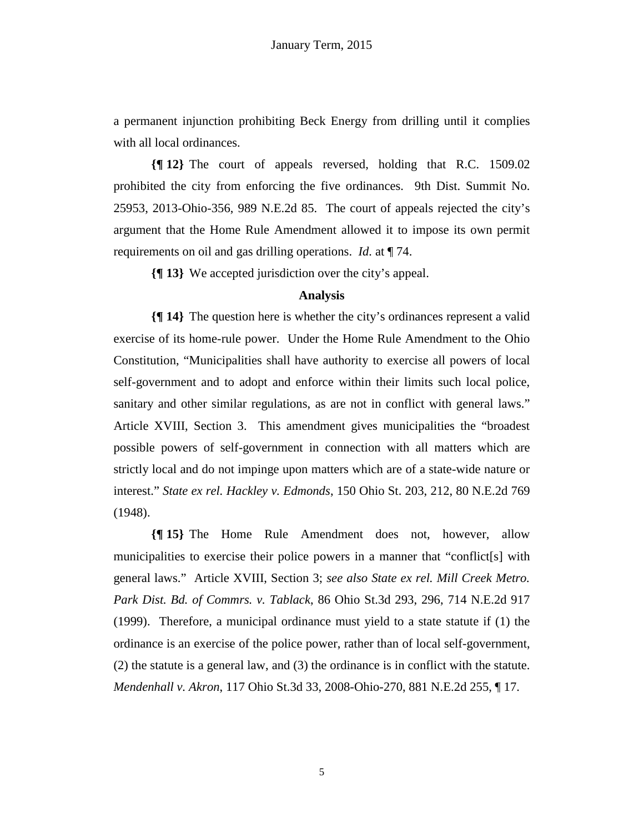a permanent injunction prohibiting Beck Energy from drilling until it complies with all local ordinances.

**{¶ 12}** The court of appeals reversed, holding that R.C. 1509.02 prohibited the city from enforcing the five ordinances. 9th Dist. Summit No. 25953, 2013-Ohio-356, 989 N.E.2d 85. The court of appeals rejected the city's argument that the Home Rule Amendment allowed it to impose its own permit requirements on oil and gas drilling operations. *Id.* at ¶ 74.

**{¶ 13}** We accepted jurisdiction over the city's appeal.

#### **Analysis**

**{¶ 14}** The question here is whether the city's ordinances represent a valid exercise of its home-rule power. Under the Home Rule Amendment to the Ohio Constitution, "Municipalities shall have authority to exercise all powers of local self-government and to adopt and enforce within their limits such local police, sanitary and other similar regulations, as are not in conflict with general laws." Article XVIII, Section 3. This amendment gives municipalities the "broadest possible powers of self-government in connection with all matters which are strictly local and do not impinge upon matters which are of a state-wide nature or interest." *State ex rel. Hackley v. Edmonds*, 150 Ohio St. 203, 212, 80 N.E.2d 769 (1948).

**{¶ 15}** The Home Rule Amendment does not, however, allow municipalities to exercise their police powers in a manner that "conflict[s] with general laws." Article XVIII, Section 3; *see also State ex rel. Mill Creek Metro. Park Dist. Bd. of Commrs. v. Tablack*, 86 Ohio St.3d 293, 296, 714 N.E.2d 917 (1999). Therefore, a municipal ordinance must yield to a state statute if (1) the ordinance is an exercise of the police power, rather than of local self-government, (2) the statute is a general law, and (3) the ordinance is in conflict with the statute. *Mendenhall v. Akron*, 117 Ohio St.3d 33, 2008-Ohio-270, 881 N.E.2d 255, ¶ 17.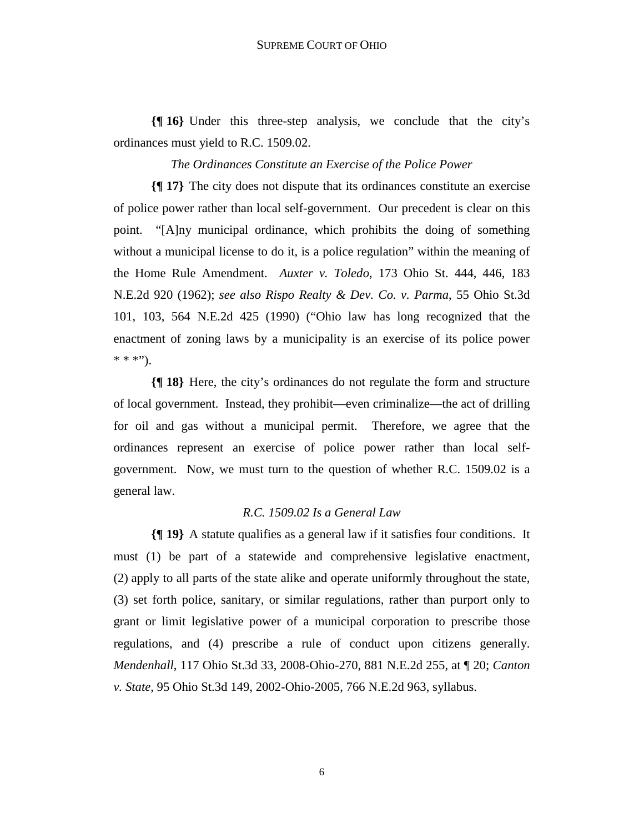**{¶ 16}** Under this three-step analysis, we conclude that the city's ordinances must yield to R.C. 1509.02.

*The Ordinances Constitute an Exercise of the Police Power* 

**{¶ 17}** The city does not dispute that its ordinances constitute an exercise of police power rather than local self-government. Our precedent is clear on this point. "[A]ny municipal ordinance, which prohibits the doing of something without a municipal license to do it, is a police regulation" within the meaning of the Home Rule Amendment. *Auxter v. Toledo*, 173 Ohio St. 444, 446, 183 N.E.2d 920 (1962); *see also Rispo Realty & Dev. Co. v. Parma*, 55 Ohio St.3d 101, 103, 564 N.E.2d 425 (1990) ("Ohio law has long recognized that the enactment of zoning laws by a municipality is an exercise of its police power  $* * "$ 

**{¶ 18}** Here, the city's ordinances do not regulate the form and structure of local government. Instead, they prohibit—even criminalize—the act of drilling for oil and gas without a municipal permit. Therefore, we agree that the ordinances represent an exercise of police power rather than local selfgovernment. Now, we must turn to the question of whether R.C. 1509.02 is a general law.

# *R.C. 1509.02 Is a General Law*

**{¶ 19}** A statute qualifies as a general law if it satisfies four conditions. It must (1) be part of a statewide and comprehensive legislative enactment, (2) apply to all parts of the state alike and operate uniformly throughout the state, (3) set forth police, sanitary, or similar regulations, rather than purport only to grant or limit legislative power of a municipal corporation to prescribe those regulations, and (4) prescribe a rule of conduct upon citizens generally. *Mendenhall*, 117 Ohio St.3d 33, 2008-Ohio-270, 881 N.E.2d 255, at ¶ 20; *Canton v. State*, 95 Ohio St.3d 149, 2002-Ohio-2005, 766 N.E.2d 963, syllabus.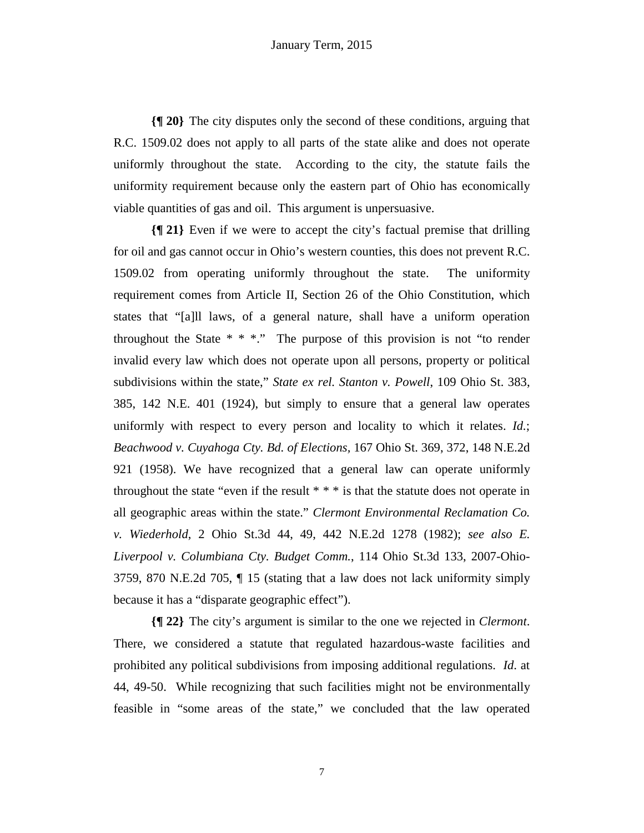**{¶ 20}** The city disputes only the second of these conditions, arguing that R.C. 1509.02 does not apply to all parts of the state alike and does not operate uniformly throughout the state. According to the city, the statute fails the uniformity requirement because only the eastern part of Ohio has economically viable quantities of gas and oil. This argument is unpersuasive.

**{¶ 21}** Even if we were to accept the city's factual premise that drilling for oil and gas cannot occur in Ohio's western counties, this does not prevent R.C. 1509.02 from operating uniformly throughout the state. The uniformity requirement comes from Article II, Section 26 of the Ohio Constitution, which states that "[a]ll laws, of a general nature, shall have a uniform operation throughout the State  $* * *$ ." The purpose of this provision is not "to render invalid every law which does not operate upon all persons, property or political subdivisions within the state," *State ex rel. Stanton v. Powell*, 109 Ohio St. 383, 385, 142 N.E. 401 (1924), but simply to ensure that a general law operates uniformly with respect to every person and locality to which it relates. *Id.*; *Beachwood v. Cuyahoga Cty. Bd. of Elections,* 167 Ohio St. 369, 372, 148 N.E.2d 921 (1958). We have recognized that a general law can operate uniformly throughout the state "even if the result  $***$  is that the statute does not operate in all geographic areas within the state." *Clermont Environmental Reclamation Co. v. Wiederhold*, 2 Ohio St.3d 44, 49, 442 N.E.2d 1278 (1982); *see also E. Liverpool v. Columbiana Cty. Budget Comm.*, 114 Ohio St.3d 133, 2007-Ohio-3759, 870 N.E.2d 705, ¶ 15 (stating that a law does not lack uniformity simply because it has a "disparate geographic effect").

**{¶ 22}** The city's argument is similar to the one we rejected in *Clermont*. There, we considered a statute that regulated hazardous-waste facilities and prohibited any political subdivisions from imposing additional regulations. *Id*. at 44, 49-50. While recognizing that such facilities might not be environmentally feasible in "some areas of the state," we concluded that the law operated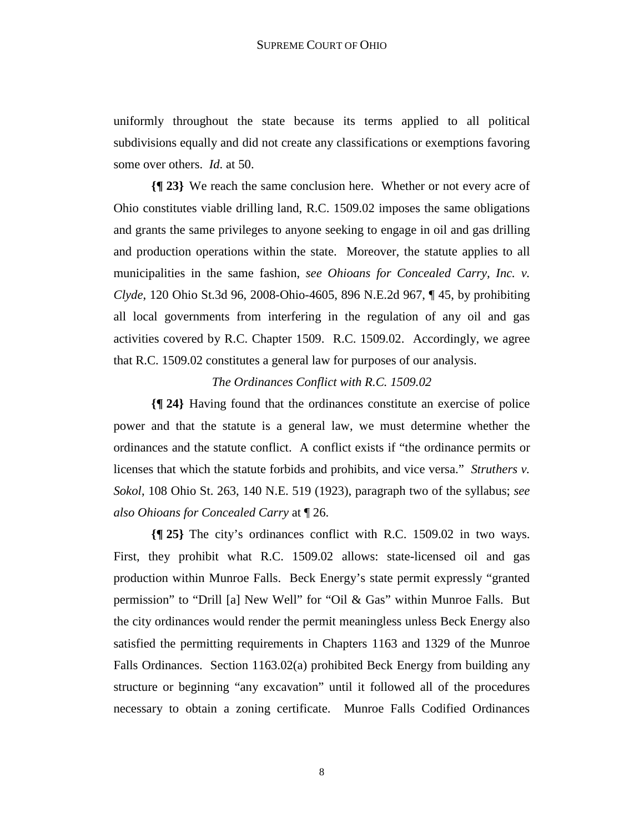uniformly throughout the state because its terms applied to all political subdivisions equally and did not create any classifications or exemptions favoring some over others. *Id*. at 50.

**{¶ 23}** We reach the same conclusion here. Whether or not every acre of Ohio constitutes viable drilling land, R.C. 1509.02 imposes the same obligations and grants the same privileges to anyone seeking to engage in oil and gas drilling and production operations within the state. Moreover, the statute applies to all municipalities in the same fashion, *see Ohioans for Concealed Carry, Inc. v. Clyde*, 120 Ohio St.3d 96, 2008-Ohio-4605, 896 N.E.2d 967, ¶ 45, by prohibiting all local governments from interfering in the regulation of any oil and gas activities covered by R.C. Chapter 1509. R.C. 1509.02. Accordingly, we agree that R.C. 1509.02 constitutes a general law for purposes of our analysis.

#### *The Ordinances Conflict with R.C. 1509.02*

**{¶ 24}** Having found that the ordinances constitute an exercise of police power and that the statute is a general law, we must determine whether the ordinances and the statute conflict. A conflict exists if "the ordinance permits or licenses that which the statute forbids and prohibits, and vice versa." *Struthers v. Sokol*, 108 Ohio St. 263, 140 N.E. 519 (1923), paragraph two of the syllabus; *see also Ohioans for Concealed Carry* at ¶ 26.

**{¶ 25}** The city's ordinances conflict with R.C. 1509.02 in two ways. First, they prohibit what R.C. 1509.02 allows: state-licensed oil and gas production within Munroe Falls. Beck Energy's state permit expressly "granted permission" to "Drill [a] New Well" for "Oil & Gas" within Munroe Falls. But the city ordinances would render the permit meaningless unless Beck Energy also satisfied the permitting requirements in Chapters 1163 and 1329 of the Munroe Falls Ordinances. Section 1163.02(a) prohibited Beck Energy from building any structure or beginning "any excavation" until it followed all of the procedures necessary to obtain a zoning certificate. Munroe Falls Codified Ordinances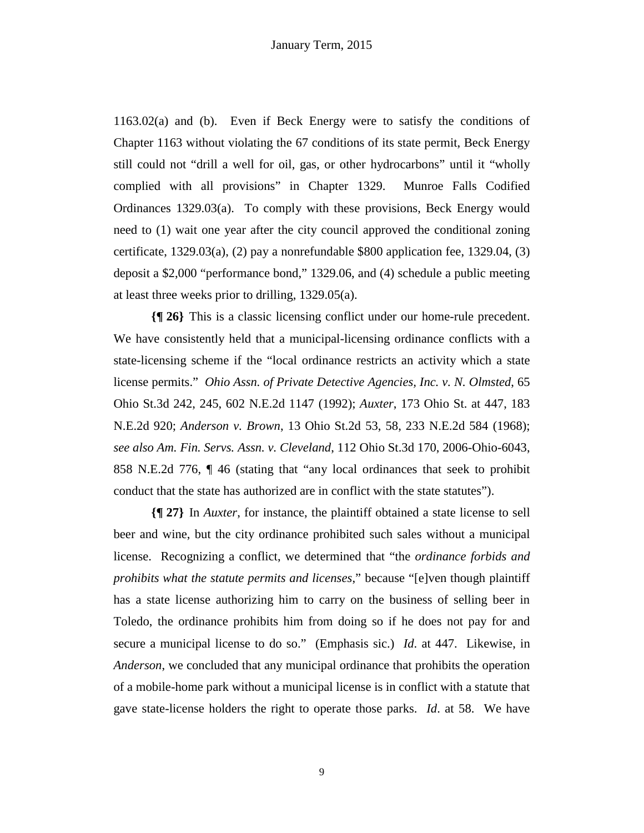1163.02(a) and (b). Even if Beck Energy were to satisfy the conditions of Chapter 1163 without violating the 67 conditions of its state permit, Beck Energy still could not "drill a well for oil, gas, or other hydrocarbons" until it "wholly complied with all provisions" in Chapter 1329. Munroe Falls Codified Ordinances 1329.03(a). To comply with these provisions, Beck Energy would need to (1) wait one year after the city council approved the conditional zoning certificate, 1329.03(a), (2) pay a nonrefundable \$800 application fee, 1329.04, (3) deposit a \$2,000 "performance bond," 1329.06, and (4) schedule a public meeting at least three weeks prior to drilling, 1329.05(a).

**{¶ 26}** This is a classic licensing conflict under our home-rule precedent. We have consistently held that a municipal-licensing ordinance conflicts with a state-licensing scheme if the "local ordinance restricts an activity which a state license permits." *Ohio Assn. of Private Detective Agencies, Inc. v. N. Olmsted*, 65 Ohio St.3d 242, 245, 602 N.E.2d 1147 (1992); *Auxter*, 173 Ohio St. at 447, 183 N.E.2d 920; *Anderson v. Brown*, 13 Ohio St.2d 53, 58, 233 N.E.2d 584 (1968); *see also Am. Fin. Servs. Assn. v. Cleveland*, 112 Ohio St.3d 170, 2006-Ohio-6043, 858 N.E.2d 776, ¶ 46 (stating that "any local ordinances that seek to prohibit conduct that the state has authorized are in conflict with the state statutes").

**{¶ 27}** In *Auxter*, for instance, the plaintiff obtained a state license to sell beer and wine, but the city ordinance prohibited such sales without a municipal license. Recognizing a conflict, we determined that "the *ordinance forbids and prohibits what the statute permits and licenses*," because "[e]ven though plaintiff has a state license authorizing him to carry on the business of selling beer in Toledo, the ordinance prohibits him from doing so if he does not pay for and secure a municipal license to do so." (Emphasis sic.) *Id*. at 447. Likewise, in *Anderson*, we concluded that any municipal ordinance that prohibits the operation of a mobile-home park without a municipal license is in conflict with a statute that gave state-license holders the right to operate those parks. *Id*. at 58. We have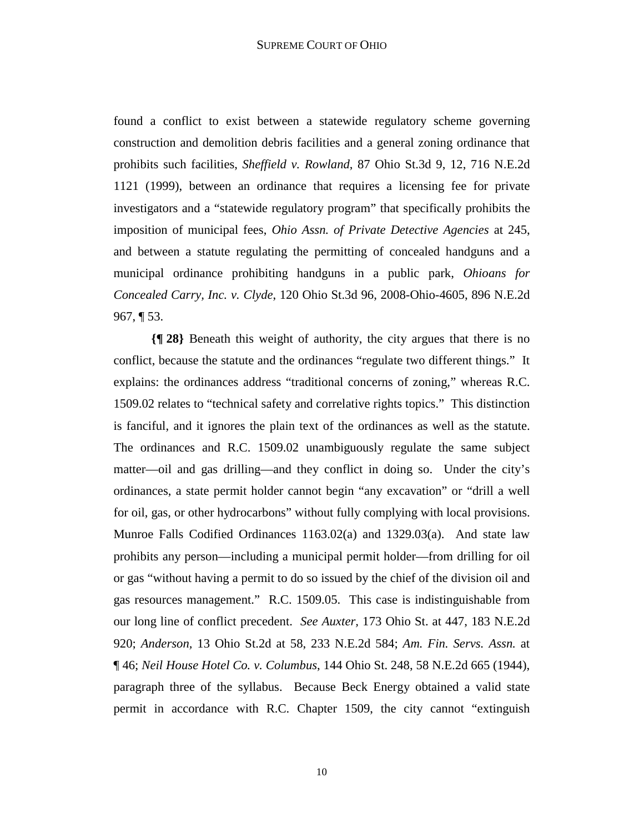found a conflict to exist between a statewide regulatory scheme governing construction and demolition debris facilities and a general zoning ordinance that prohibits such facilities, *Sheffield v. Rowland*, 87 Ohio St.3d 9, 12, 716 N.E.2d 1121 (1999), between an ordinance that requires a licensing fee for private investigators and a "statewide regulatory program" that specifically prohibits the imposition of municipal fees, *Ohio Assn. of Private Detective Agencies* at 245, and between a statute regulating the permitting of concealed handguns and a municipal ordinance prohibiting handguns in a public park, *Ohioans for Concealed Carry, Inc. v. Clyde*, 120 Ohio St.3d 96, 2008-Ohio-4605, 896 N.E.2d  $967, \P 53.$ 

**{¶ 28}** Beneath this weight of authority, the city argues that there is no conflict, because the statute and the ordinances "regulate two different things." It explains: the ordinances address "traditional concerns of zoning," whereas R.C. 1509.02 relates to "technical safety and correlative rights topics." This distinction is fanciful, and it ignores the plain text of the ordinances as well as the statute. The ordinances and R.C. 1509.02 unambiguously regulate the same subject matter—oil and gas drilling—and they conflict in doing so. Under the city's ordinances, a state permit holder cannot begin "any excavation" or "drill a well for oil, gas, or other hydrocarbons" without fully complying with local provisions. Munroe Falls Codified Ordinances 1163.02(a) and 1329.03(a). And state law prohibits any person—including a municipal permit holder—from drilling for oil or gas "without having a permit to do so issued by the chief of the division oil and gas resources management." R.C. 1509.05. This case is indistinguishable from our long line of conflict precedent. *See Auxter,* 173 Ohio St. at 447, 183 N.E.2d 920; *Anderson,* 13 Ohio St.2d at 58, 233 N.E.2d 584; *Am. Fin. Servs. Assn.* at ¶ 46; *Neil House Hotel Co. v. Columbus*, 144 Ohio St. 248, 58 N.E.2d 665 (1944), paragraph three of the syllabus. Because Beck Energy obtained a valid state permit in accordance with R.C. Chapter 1509, the city cannot "extinguish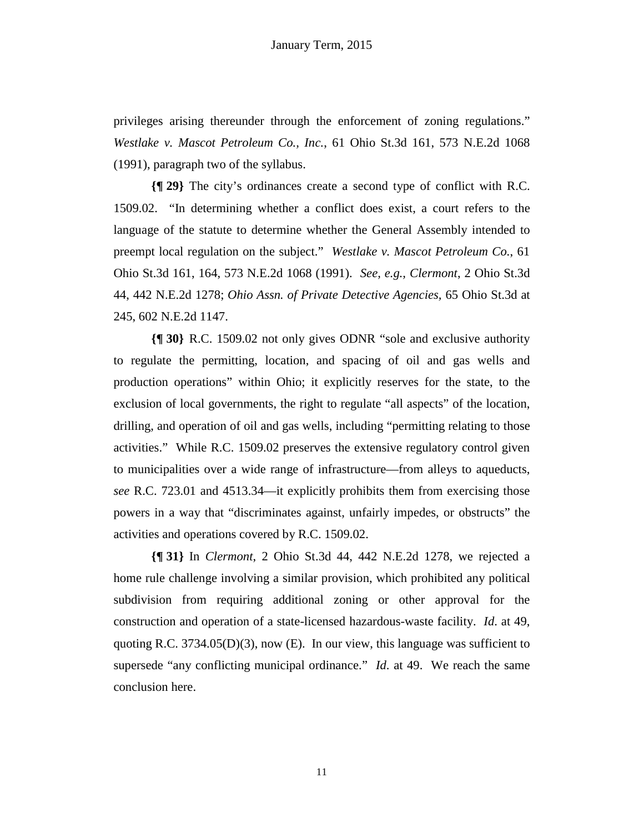privileges arising thereunder through the enforcement of zoning regulations." *Westlake v. Mascot Petroleum Co., Inc.*, 61 Ohio St.3d 161, 573 N.E.2d 1068 (1991), paragraph two of the syllabus.

**{¶ 29}** The city's ordinances create a second type of conflict with R.C. 1509.02. "In determining whether a conflict does exist, a court refers to the language of the statute to determine whether the General Assembly intended to preempt local regulation on the subject." *Westlake v. Mascot Petroleum Co.*, 61 Ohio St.3d 161, 164, 573 N.E.2d 1068 (1991). *See, e.g., Clermont*, 2 Ohio St.3d 44, 442 N.E.2d 1278; *Ohio Assn. of Private Detective Agencies,* 65 Ohio St.3d at 245, 602 N.E.2d 1147.

**{¶ 30}** R.C. 1509.02 not only gives ODNR "sole and exclusive authority to regulate the permitting, location, and spacing of oil and gas wells and production operations" within Ohio; it explicitly reserves for the state, to the exclusion of local governments, the right to regulate "all aspects" of the location, drilling, and operation of oil and gas wells, including "permitting relating to those activities." While R.C. 1509.02 preserves the extensive regulatory control given to municipalities over a wide range of infrastructure—from alleys to aqueducts, *see* R.C. 723.01 and 4513.34—it explicitly prohibits them from exercising those powers in a way that "discriminates against, unfairly impedes, or obstructs" the activities and operations covered by R.C. 1509.02.

**{¶ 31}** In *Clermont*, 2 Ohio St.3d 44, 442 N.E.2d 1278, we rejected a home rule challenge involving a similar provision, which prohibited any political subdivision from requiring additional zoning or other approval for the construction and operation of a state-licensed hazardous-waste facility. *Id*. at 49, quoting R.C.  $3734.05(D)(3)$ , now (E). In our view, this language was sufficient to supersede "any conflicting municipal ordinance." *Id*. at 49. We reach the same conclusion here.

11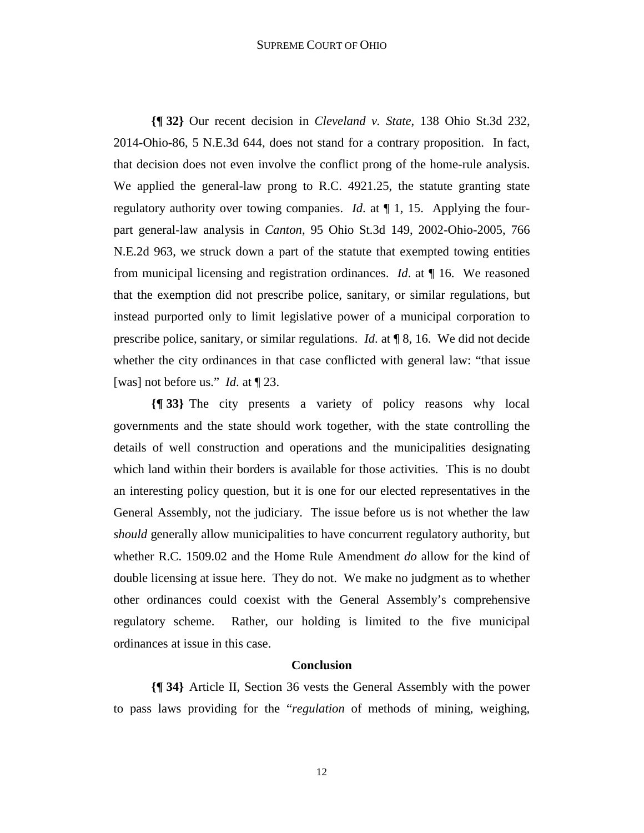#### SUPREME COURT OF OHIO

**{¶ 32}** Our recent decision in *Cleveland v. State*, 138 Ohio St.3d 232, 2014-Ohio-86, 5 N.E.3d 644, does not stand for a contrary proposition. In fact, that decision does not even involve the conflict prong of the home-rule analysis. We applied the general-law prong to R.C. 4921.25, the statute granting state regulatory authority over towing companies. *Id*. at ¶ 1, 15. Applying the fourpart general-law analysis in *Canton*, 95 Ohio St.3d 149, 2002-Ohio-2005, 766 N.E.2d 963, we struck down a part of the statute that exempted towing entities from municipal licensing and registration ordinances. *Id*. at ¶ 16. We reasoned that the exemption did not prescribe police, sanitary, or similar regulations, but instead purported only to limit legislative power of a municipal corporation to prescribe police, sanitary, or similar regulations. *Id*. at ¶ 8, 16. We did not decide whether the city ordinances in that case conflicted with general law: "that issue [was] not before us." *Id*. at ¶ 23.

**{¶ 33}** The city presents a variety of policy reasons why local governments and the state should work together, with the state controlling the details of well construction and operations and the municipalities designating which land within their borders is available for those activities. This is no doubt an interesting policy question, but it is one for our elected representatives in the General Assembly, not the judiciary. The issue before us is not whether the law *should* generally allow municipalities to have concurrent regulatory authority, but whether R.C. 1509.02 and the Home Rule Amendment *do* allow for the kind of double licensing at issue here. They do not. We make no judgment as to whether other ordinances could coexist with the General Assembly's comprehensive regulatory scheme. Rather, our holding is limited to the five municipal ordinances at issue in this case.

#### **Conclusion**

**{¶ 34}** Article II, Section 36 vests the General Assembly with the power to pass laws providing for the "*regulation* of methods of mining, weighing,

12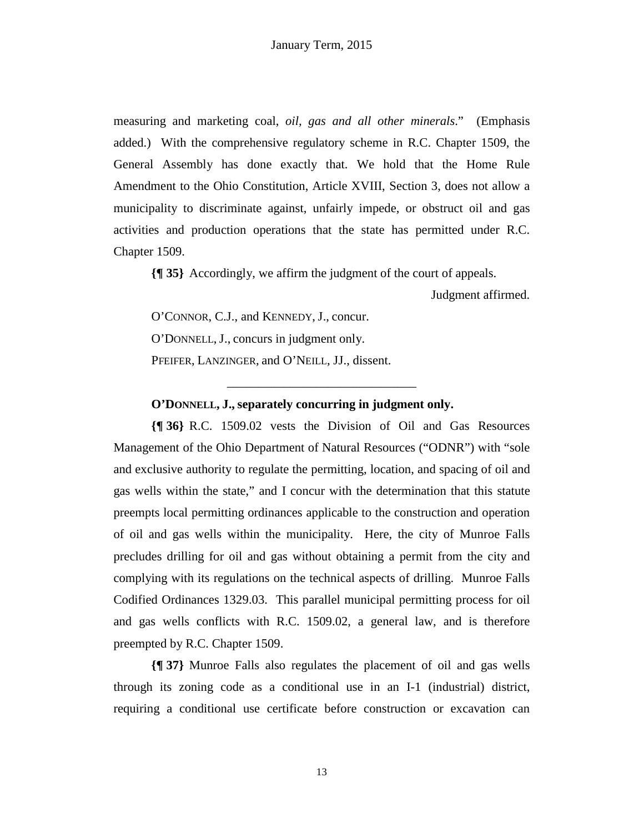measuring and marketing coal, *oil, gas and all other minerals*." (Emphasis added.) With the comprehensive regulatory scheme in R.C. Chapter 1509, the General Assembly has done exactly that. We hold that the Home Rule Amendment to the Ohio Constitution, Article XVIII, Section 3, does not allow a municipality to discriminate against, unfairly impede, or obstruct oil and gas activities and production operations that the state has permitted under R.C. Chapter 1509.

**{¶ 35}** Accordingly, we affirm the judgment of the court of appeals.

\_\_\_\_\_\_\_\_\_\_\_\_\_\_\_\_\_\_\_\_\_\_\_\_\_\_\_\_\_\_

Judgment affirmed.

O'CONNOR, C.J., and KENNEDY, J., concur.

O'DONNELL, J., concurs in judgment only.

PFEIFER, LANZINGER, and O'NEILL, JJ., dissent.

# **O'DONNELL, J., separately concurring in judgment only.**

**{¶ 36}** R.C. 1509.02 vests the Division of Oil and Gas Resources Management of the Ohio Department of Natural Resources ("ODNR") with "sole and exclusive authority to regulate the permitting, location, and spacing of oil and gas wells within the state," and I concur with the determination that this statute preempts local permitting ordinances applicable to the construction and operation of oil and gas wells within the municipality. Here, the city of Munroe Falls precludes drilling for oil and gas without obtaining a permit from the city and complying with its regulations on the technical aspects of drilling. Munroe Falls Codified Ordinances 1329.03. This parallel municipal permitting process for oil and gas wells conflicts with R.C. 1509.02, a general law, and is therefore preempted by R.C. Chapter 1509.

**{¶ 37}** Munroe Falls also regulates the placement of oil and gas wells through its zoning code as a conditional use in an I-1 (industrial) district, requiring a conditional use certificate before construction or excavation can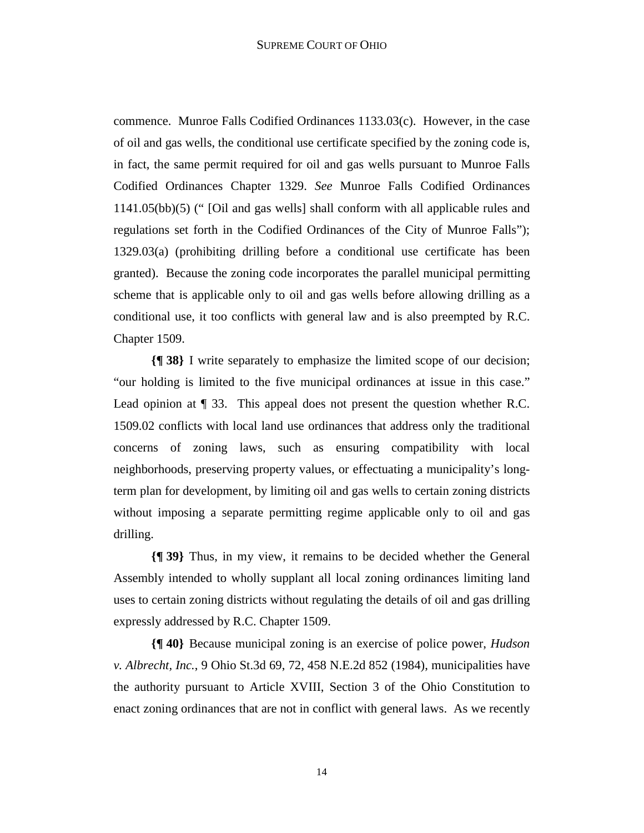commence. Munroe Falls Codified Ordinances 1133.03(c). However, in the case of oil and gas wells, the conditional use certificate specified by the zoning code is, in fact, the same permit required for oil and gas wells pursuant to Munroe Falls Codified Ordinances Chapter 1329. *See* Munroe Falls Codified Ordinances 1141.05(bb)(5) (" [Oil and gas wells] shall conform with all applicable rules and regulations set forth in the Codified Ordinances of the City of Munroe Falls"); 1329.03(a) (prohibiting drilling before a conditional use certificate has been granted). Because the zoning code incorporates the parallel municipal permitting scheme that is applicable only to oil and gas wells before allowing drilling as a conditional use, it too conflicts with general law and is also preempted by R.C. Chapter 1509.

**{¶ 38}** I write separately to emphasize the limited scope of our decision; "our holding is limited to the five municipal ordinances at issue in this case." Lead opinion at  $\P$  33. This appeal does not present the question whether R.C. 1509.02 conflicts with local land use ordinances that address only the traditional concerns of zoning laws, such as ensuring compatibility with local neighborhoods, preserving property values, or effectuating a municipality's longterm plan for development, by limiting oil and gas wells to certain zoning districts without imposing a separate permitting regime applicable only to oil and gas drilling.

**{¶ 39}** Thus, in my view, it remains to be decided whether the General Assembly intended to wholly supplant all local zoning ordinances limiting land uses to certain zoning districts without regulating the details of oil and gas drilling expressly addressed by R.C. Chapter 1509.

**{¶ 40}** Because municipal zoning is an exercise of police power, *Hudson v. Albrecht, Inc.*, 9 Ohio St.3d 69, 72, 458 N.E.2d 852 (1984), municipalities have the authority pursuant to Article XVIII, Section 3 of the Ohio Constitution to enact zoning ordinances that are not in conflict with general laws. As we recently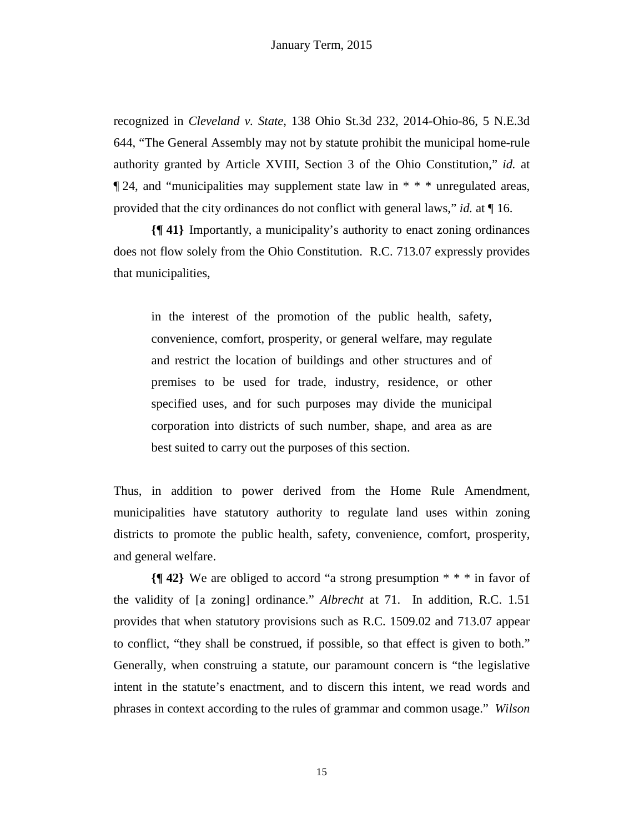recognized in *Cleveland v. State*, 138 Ohio St.3d 232, 2014-Ohio-86, 5 N.E.3d 644, "The General Assembly may not by statute prohibit the municipal home-rule authority granted by Article XVIII, Section 3 of the Ohio Constitution," *id.* at  $\P$  24, and "municipalities may supplement state law in  $* * *$  unregulated areas, provided that the city ordinances do not conflict with general laws," *id.* at ¶ 16.

**{¶ 41}** Importantly, a municipality's authority to enact zoning ordinances does not flow solely from the Ohio Constitution. R.C. 713.07 expressly provides that municipalities,

in the interest of the promotion of the public health, safety, convenience, comfort, prosperity, or general welfare, may regulate and restrict the location of buildings and other structures and of premises to be used for trade, industry, residence, or other specified uses, and for such purposes may divide the municipal corporation into districts of such number, shape, and area as are best suited to carry out the purposes of this section.

Thus, in addition to power derived from the Home Rule Amendment, municipalities have statutory authority to regulate land uses within zoning districts to promote the public health, safety, convenience, comfort, prosperity, and general welfare.

**{¶ 42}** We are obliged to accord "a strong presumption \* \* \* in favor of the validity of [a zoning] ordinance." *Albrecht* at 71. In addition, R.C. 1.51 provides that when statutory provisions such as R.C. 1509.02 and 713.07 appear to conflict, "they shall be construed, if possible, so that effect is given to both." Generally, when construing a statute, our paramount concern is "the legislative intent in the statute's enactment, and to discern this intent, we read words and phrases in context according to the rules of grammar and common usage." *Wilson*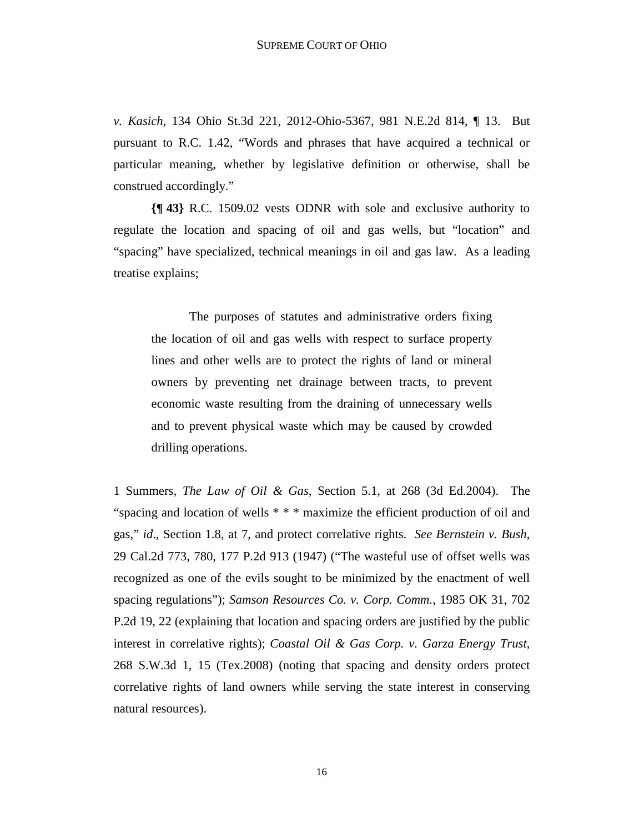*v. Kasich,* 134 Ohio St.3d 221, 2012-Ohio-5367, 981 N.E.2d 814, ¶ 13. But pursuant to R.C. 1.42, "Words and phrases that have acquired a technical or particular meaning, whether by legislative definition or otherwise, shall be construed accordingly."

**{¶ 43}** R.C. 1509.02 vests ODNR with sole and exclusive authority to regulate the location and spacing of oil and gas wells, but "location" and "spacing" have specialized, technical meanings in oil and gas law. As a leading treatise explains;

The purposes of statutes and administrative orders fixing the location of oil and gas wells with respect to surface property lines and other wells are to protect the rights of land or mineral owners by preventing net drainage between tracts, to prevent economic waste resulting from the draining of unnecessary wells and to prevent physical waste which may be caused by crowded drilling operations.

1 Summers, *The Law of Oil & Gas*, Section 5.1, at 268 (3d Ed.2004). The "spacing and location of wells \* \* \* maximize the efficient production of oil and gas," *id*., Section 1.8, at 7, and protect correlative rights. *See Bernstein v. Bush*, 29 Cal.2d 773, 780, 177 P.2d 913 (1947) ("The wasteful use of offset wells was recognized as one of the evils sought to be minimized by the enactment of well spacing regulations"); *Samson Resources Co. v. Corp. Comm.*, 1985 OK 31, 702 P.2d 19, 22 (explaining that location and spacing orders are justified by the public interest in correlative rights); *Coastal Oil & Gas Corp. v. Garza Energy Trust*, 268 S.W.3d 1, 15 (Tex.2008) (noting that spacing and density orders protect correlative rights of land owners while serving the state interest in conserving natural resources).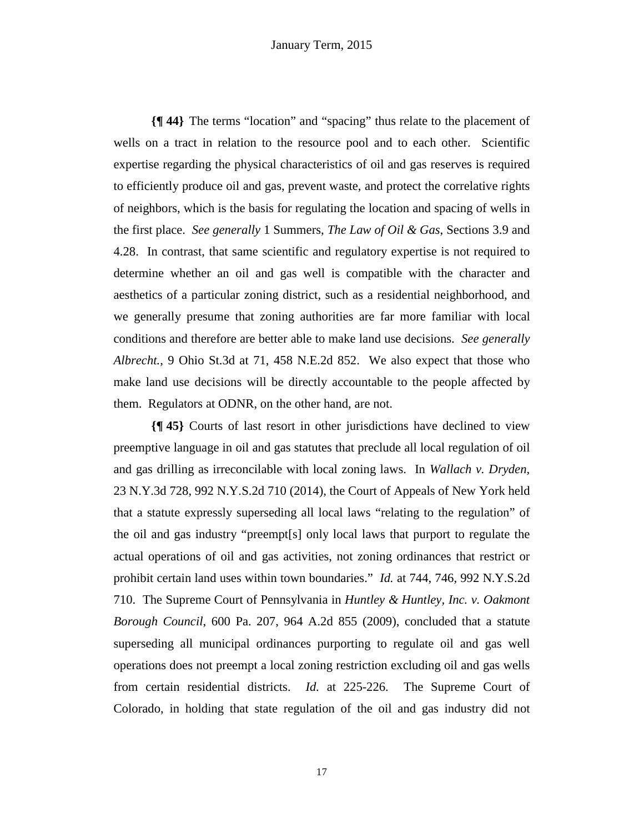**{¶ 44}** The terms "location" and "spacing" thus relate to the placement of wells on a tract in relation to the resource pool and to each other. Scientific expertise regarding the physical characteristics of oil and gas reserves is required to efficiently produce oil and gas, prevent waste, and protect the correlative rights of neighbors, which is the basis for regulating the location and spacing of wells in the first place. *See generally* 1 Summers, *The Law of Oil & Gas*, Sections 3.9 and 4.28. In contrast, that same scientific and regulatory expertise is not required to determine whether an oil and gas well is compatible with the character and aesthetics of a particular zoning district, such as a residential neighborhood, and we generally presume that zoning authorities are far more familiar with local conditions and therefore are better able to make land use decisions. *See generally Albrecht.*, 9 Ohio St.3d at 71, 458 N.E.2d 852. We also expect that those who make land use decisions will be directly accountable to the people affected by them. Regulators at ODNR, on the other hand, are not.

**{¶ 45}** Courts of last resort in other jurisdictions have declined to view preemptive language in oil and gas statutes that preclude all local regulation of oil and gas drilling as irreconcilable with local zoning laws. In *Wallach v. Dryden*, 23 N.Y.3d 728, 992 N.Y.S.2d 710 (2014), the Court of Appeals of New York held that a statute expressly superseding all local laws "relating to the regulation" of the oil and gas industry "preempt[s] only local laws that purport to regulate the actual operations of oil and gas activities, not zoning ordinances that restrict or prohibit certain land uses within town boundaries." *Id.* at 744, 746, 992 N.Y.S.2d 710. The Supreme Court of Pennsylvania in *Huntley & Huntley, Inc. v. Oakmont Borough Council*, 600 Pa. 207, 964 A.2d 855 (2009), concluded that a statute superseding all municipal ordinances purporting to regulate oil and gas well operations does not preempt a local zoning restriction excluding oil and gas wells from certain residential districts. *Id.* at 225-226. The Supreme Court of Colorado, in holding that state regulation of the oil and gas industry did not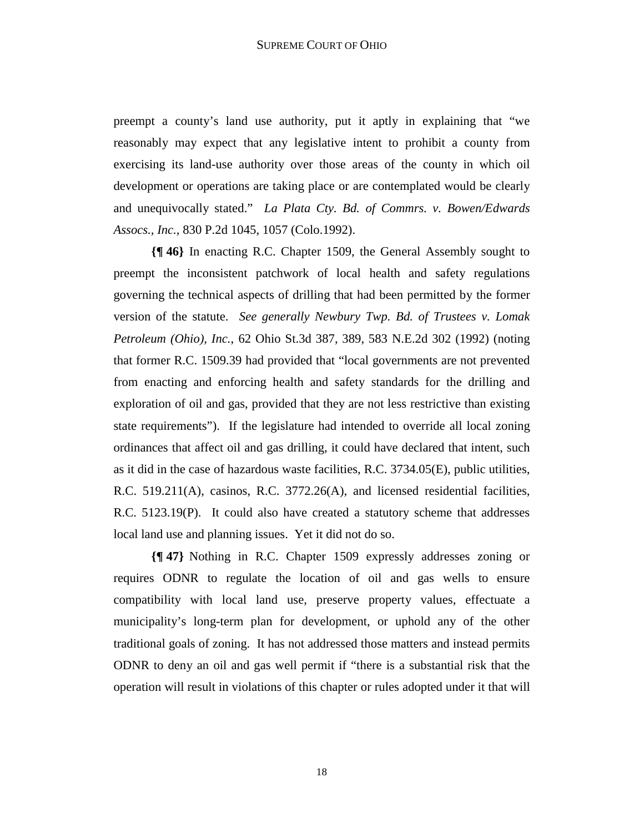preempt a county's land use authority, put it aptly in explaining that "we reasonably may expect that any legislative intent to prohibit a county from exercising its land-use authority over those areas of the county in which oil development or operations are taking place or are contemplated would be clearly and unequivocally stated." *La Plata Cty. Bd. of Commrs. v. Bowen/Edwards Assocs., Inc.,* 830 P.2d 1045, 1057 (Colo.1992).

**{¶ 46}** In enacting R.C. Chapter 1509, the General Assembly sought to preempt the inconsistent patchwork of local health and safety regulations governing the technical aspects of drilling that had been permitted by the former version of the statute. *See generally Newbury Twp. Bd. of Trustees v. Lomak Petroleum (Ohio), Inc.*, 62 Ohio St.3d 387, 389, 583 N.E.2d 302 (1992) (noting that former R.C. 1509.39 had provided that "local governments are not prevented from enacting and enforcing health and safety standards for the drilling and exploration of oil and gas, provided that they are not less restrictive than existing state requirements"). If the legislature had intended to override all local zoning ordinances that affect oil and gas drilling, it could have declared that intent, such as it did in the case of hazardous waste facilities, R.C. 3734.05(E), public utilities, R.C. 519.211(A), casinos, R.C. 3772.26(A), and licensed residential facilities, R.C. 5123.19(P). It could also have created a statutory scheme that addresses local land use and planning issues. Yet it did not do so.

**{¶ 47}** Nothing in R.C. Chapter 1509 expressly addresses zoning or requires ODNR to regulate the location of oil and gas wells to ensure compatibility with local land use, preserve property values, effectuate a municipality's long-term plan for development, or uphold any of the other traditional goals of zoning. It has not addressed those matters and instead permits ODNR to deny an oil and gas well permit if "there is a substantial risk that the operation will result in violations of this chapter or rules adopted under it that will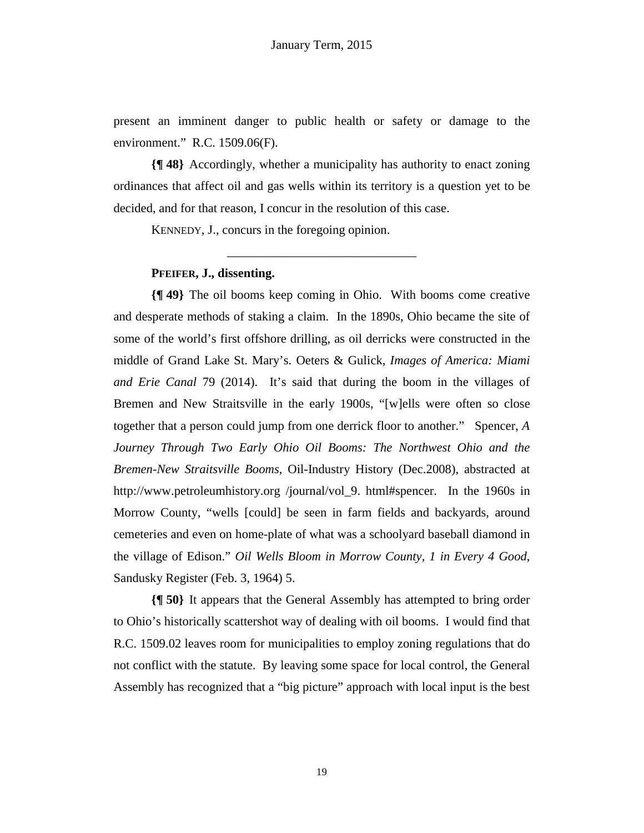present an imminent danger to public health or safety or damage to the environment." R.C. 1509.06(F).

**{¶ 48}** Accordingly, whether a municipality has authority to enact zoning ordinances that affect oil and gas wells within its territory is a question yet to be decided, and for that reason, I concur in the resolution of this case.

\_\_\_\_\_\_\_\_\_\_\_\_\_\_\_\_\_\_\_\_\_\_\_\_\_\_\_\_\_\_

KENNEDY, J., concurs in the foregoing opinion.

# **PFEIFER, J., dissenting.**

**{¶ 49}** The oil booms keep coming in Ohio. With booms come creative and desperate methods of staking a claim. In the 1890s, Ohio became the site of some of the world's first offshore drilling, as oil derricks were constructed in the middle of Grand Lake St. Mary's. Oeters & Gulick, *Images of America: Miami and Erie Canal* 79 (2014). It's said that during the boom in the villages of Bremen and New Straitsville in the early 1900s, "[w]ells were often so close together that a person could jump from one derrick floor to another." Spencer, *A Journey Through Two Early Ohio Oil Booms: The Northwest Ohio and the Bremen-New Straitsville Booms*, Oil-Industry History (Dec.2008), abstracted at http://www.petroleumhistory.org /journal/vol\_9. html#spencer. In the 1960s in Morrow County, "wells [could] be seen in farm fields and backyards, around cemeteries and even on home-plate of what was a schoolyard baseball diamond in the village of Edison." *Oil Wells Bloom in Morrow County, 1 in Every 4 Good*, Sandusky Register (Feb. 3, 1964) 5.

**{¶ 50}** It appears that the General Assembly has attempted to bring order to Ohio's historically scattershot way of dealing with oil booms. I would find that R.C. 1509.02 leaves room for municipalities to employ zoning regulations that do not conflict with the statute. By leaving some space for local control, the General Assembly has recognized that a "big picture" approach with local input is the best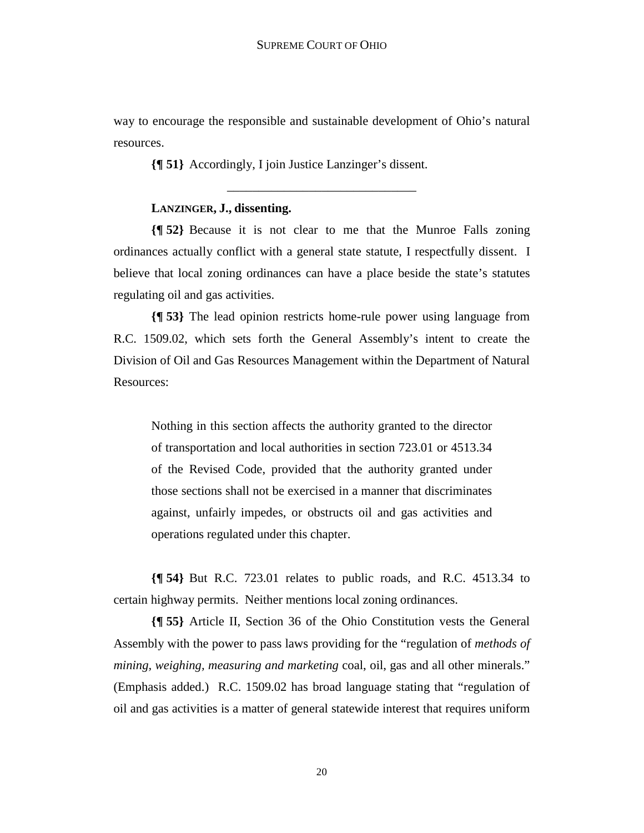way to encourage the responsible and sustainable development of Ohio's natural resources.

\_\_\_\_\_\_\_\_\_\_\_\_\_\_\_\_\_\_\_\_\_\_\_\_\_\_\_\_\_\_

**{¶ 51}** Accordingly, I join Justice Lanzinger's dissent.

#### **LANZINGER, J., dissenting.**

**{¶ 52}** Because it is not clear to me that the Munroe Falls zoning ordinances actually conflict with a general state statute, I respectfully dissent. I believe that local zoning ordinances can have a place beside the state's statutes regulating oil and gas activities.

**{¶ 53}** The lead opinion restricts home-rule power using language from R.C. 1509.02, which sets forth the General Assembly's intent to create the Division of Oil and Gas Resources Management within the Department of Natural Resources:

Nothing in this section affects the authority granted to the director of transportation and local authorities in section 723.01 or 4513.34 of the Revised Code, provided that the authority granted under those sections shall not be exercised in a manner that discriminates against, unfairly impedes, or obstructs oil and gas activities and operations regulated under this chapter.

**{¶ 54}** But R.C. 723.01 relates to public roads, and R.C. 4513.34 to certain highway permits. Neither mentions local zoning ordinances.

**{¶ 55}** Article II, Section 36 of the Ohio Constitution vests the General Assembly with the power to pass laws providing for the "regulation of *methods of mining, weighing, measuring and marketing* coal, oil, gas and all other minerals." (Emphasis added.) R.C. 1509.02 has broad language stating that "regulation of oil and gas activities is a matter of general statewide interest that requires uniform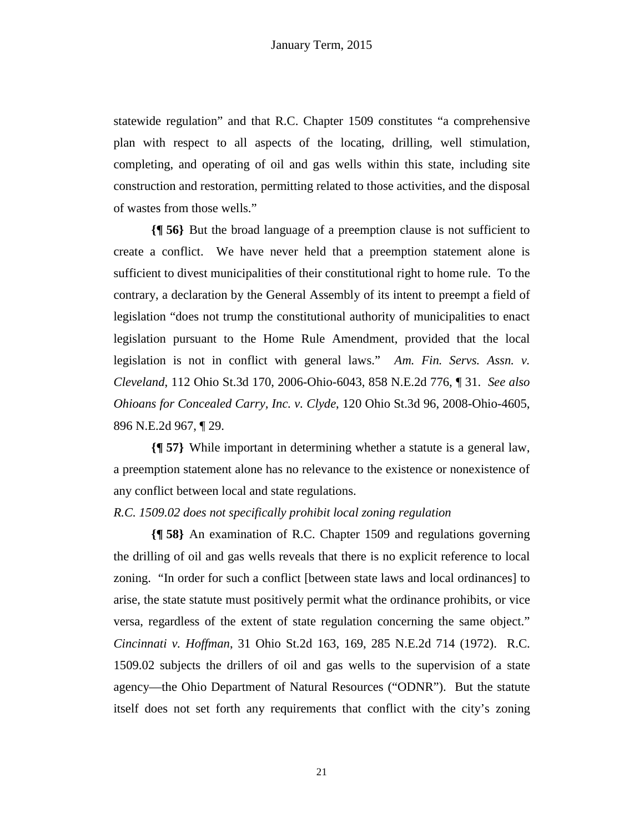statewide regulation" and that R.C. Chapter 1509 constitutes "a comprehensive plan with respect to all aspects of the locating, drilling, well stimulation, completing, and operating of oil and gas wells within this state, including site construction and restoration, permitting related to those activities, and the disposal of wastes from those wells."

**{¶ 56}** But the broad language of a preemption clause is not sufficient to create a conflict. We have never held that a preemption statement alone is sufficient to divest municipalities of their constitutional right to home rule. To the contrary, a declaration by the General Assembly of its intent to preempt a field of legislation "does not trump the constitutional authority of municipalities to enact legislation pursuant to the Home Rule Amendment, provided that the local legislation is not in conflict with general laws." *Am. Fin. Servs. Assn. v. Cleveland*, 112 Ohio St.3d 170, 2006-Ohio-6043, 858 N.E.2d 776, ¶ 31. *See also Ohioans for Concealed Carry, Inc. v. Clyde*, 120 Ohio St.3d 96, 2008-Ohio-4605, 896 N.E.2d 967, ¶ 29.

**{¶ 57}** While important in determining whether a statute is a general law, a preemption statement alone has no relevance to the existence or nonexistence of any conflict between local and state regulations.

#### *R.C. 1509.02 does not specifically prohibit local zoning regulation*

**{¶ 58}** An examination of R.C. Chapter 1509 and regulations governing the drilling of oil and gas wells reveals that there is no explicit reference to local zoning. "In order for such a conflict [between state laws and local ordinances] to arise, the state statute must positively permit what the ordinance prohibits, or vice versa, regardless of the extent of state regulation concerning the same object." *Cincinnati v. Hoffman*, 31 Ohio St.2d 163, 169, 285 N.E.2d 714 (1972). R.C. 1509.02 subjects the drillers of oil and gas wells to the supervision of a state agency—the Ohio Department of Natural Resources ("ODNR"). But the statute itself does not set forth any requirements that conflict with the city's zoning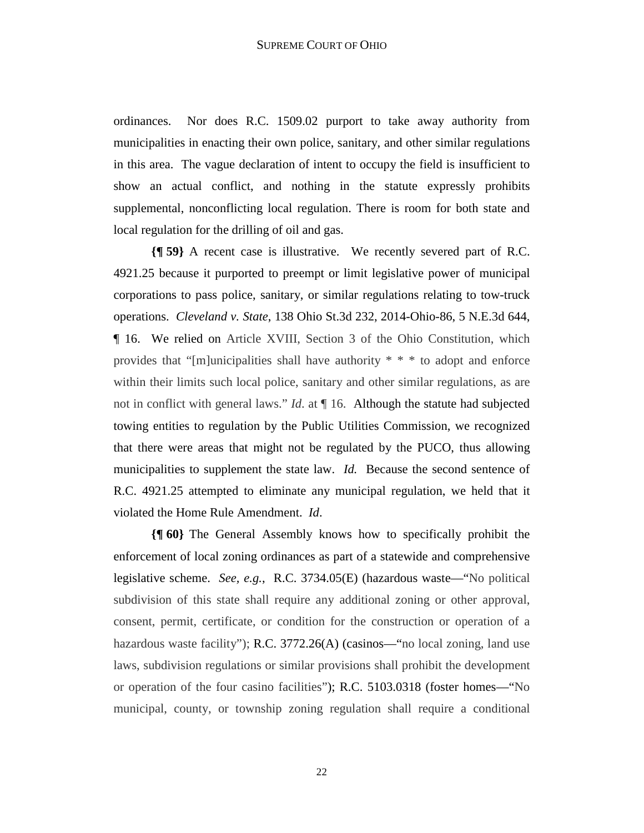ordinances. Nor does R.C. 1509.02 purport to take away authority from municipalities in enacting their own police, sanitary, and other similar regulations in this area. The vague declaration of intent to occupy the field is insufficient to show an actual conflict, and nothing in the statute expressly prohibits supplemental, nonconflicting local regulation. There is room for both state and local regulation for the drilling of oil and gas.

**{¶ 59}** A recent case is illustrative. We recently severed part of R.C. 4921.25 because it purported to preempt or limit legislative power of municipal corporations to pass police, sanitary, or similar regulations relating to tow-truck operations. *Cleveland v. State*, 138 Ohio St.3d 232, 2014-Ohio-86, 5 N.E.3d 644, ¶ 16. We relied on Article XVIII, Section 3 of the Ohio Constitution, which provides that "[m]unicipalities shall have authority \* \* \* to adopt and enforce within their limits such local police, sanitary and other similar regulations, as are not in conflict with general laws." *Id*. at ¶ 16. Although the statute had subjected towing entities to regulation by the Public Utilities Commission, we recognized that there were areas that might not be regulated by the PUCO, thus allowing municipalities to supplement the state law. *Id.* Because the second sentence of R.C. 4921.25 attempted to eliminate any municipal regulation, we held that it violated the Home Rule Amendment. *Id*.

**{¶ 60}** The General Assembly knows how to specifically prohibit the enforcement of local zoning ordinances as part of a statewide and comprehensive legislative scheme. *See, e.g.*, R.C. 3734.05(E) (hazardous waste—"No political subdivision of this state shall require any additional zoning or other approval, consent, permit, certificate, or condition for the construction or operation of a hazardous waste facility"); R.C. 3772.26(A) (casinos—"no local zoning, land use laws, subdivision regulations or similar provisions shall prohibit the development or operation of the four casino facilities"); R.C. 5103.0318 (foster homes—"No municipal, county, or township zoning regulation shall require a conditional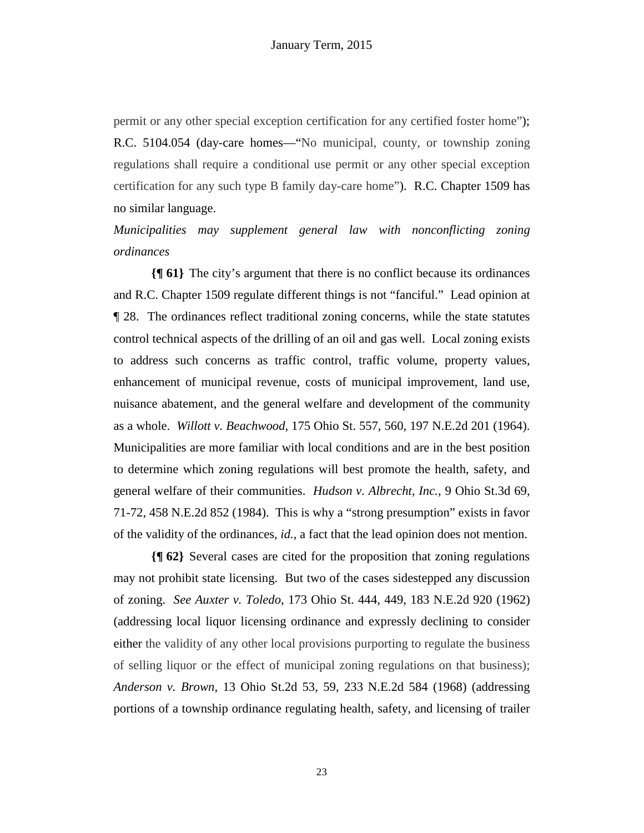permit or any other special exception certification for any certified foster home"); R.C. 5104.054 (day-care homes—"No municipal, county, or township zoning regulations shall require a conditional use permit or any other special exception certification for any such type B family day-care home"). R.C. Chapter 1509 has no similar language.

*Municipalities may supplement general law with nonconflicting zoning ordinances* 

**{¶ 61}** The city's argument that there is no conflict because its ordinances and R.C. Chapter 1509 regulate different things is not "fanciful." Lead opinion at ¶ 28. The ordinances reflect traditional zoning concerns, while the state statutes control technical aspects of the drilling of an oil and gas well. Local zoning exists to address such concerns as traffic control, traffic volume, property values, enhancement of municipal revenue, costs of municipal improvement, land use, nuisance abatement, and the general welfare and development of the community as a whole. *Willott v. Beachwood,* 175 Ohio St. 557, 560, 197 N.E.2d 201 (1964). Municipalities are more familiar with local conditions and are in the best position to determine which zoning regulations will best promote the health, safety, and general welfare of their communities. *Hudson v. Albrecht, Inc.*, 9 Ohio St.3d 69, 71-72, 458 N.E.2d 852 (1984). This is why a "strong presumption" exists in favor of the validity of the ordinances, *id.,* a fact that the lead opinion does not mention.

**{¶ 62}** Several cases are cited for the proposition that zoning regulations may not prohibit state licensing. But two of the cases sidestepped any discussion of zoning. *See Auxter v. Toledo*, 173 Ohio St. 444, 449, 183 N.E.2d 920 (1962) (addressing local liquor licensing ordinance and expressly declining to consider either the validity of any other local provisions purporting to regulate the business of selling liquor or the effect of municipal zoning regulations on that business); *Anderson v. Brown*, 13 Ohio St.2d 53, 59, 233 N.E.2d 584 (1968) (addressing portions of a township ordinance regulating health, safety, and licensing of trailer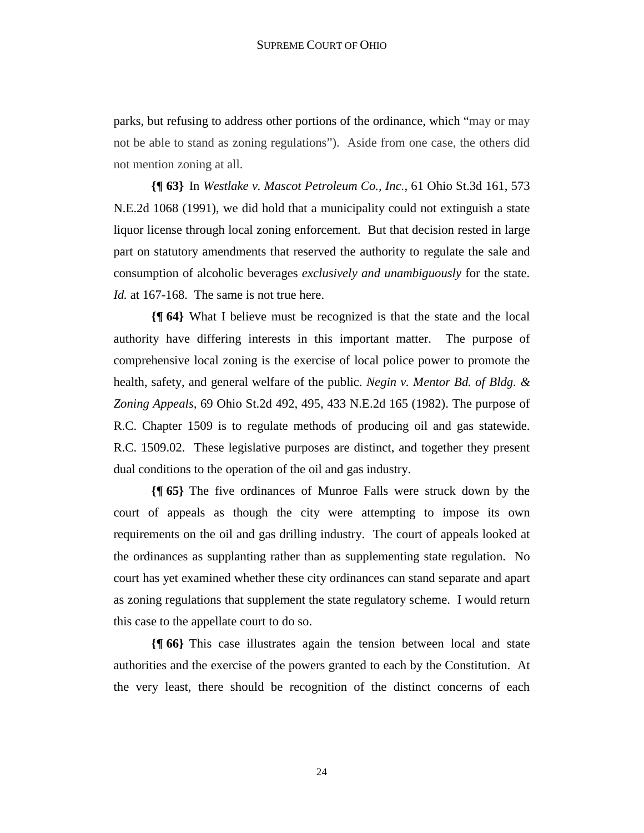parks, but refusing to address other portions of the ordinance, which "may or may not be able to stand as zoning regulations"). Aside from one case, the others did not mention zoning at all.

**{¶ 63}** In *Westlake v. Mascot Petroleum Co., Inc.*, 61 Ohio St.3d 161, 573 N.E.2d 1068 (1991), we did hold that a municipality could not extinguish a state liquor license through local zoning enforcement. But that decision rested in large part on statutory amendments that reserved the authority to regulate the sale and consumption of alcoholic beverages *exclusively and unambiguously* for the state. *Id.* at 167-168. The same is not true here.

**{¶ 64}** What I believe must be recognized is that the state and the local authority have differing interests in this important matter. The purpose of comprehensive local zoning is the exercise of local police power to promote the health, safety, and general welfare of the public. *Negin v. Mentor Bd. of Bldg. & Zoning Appeals,* 69 Ohio St.2d 492, 495, 433 N.E.2d 165 (1982). The purpose of R.C. Chapter 1509 is to regulate methods of producing oil and gas statewide. R.C. 1509.02. These legislative purposes are distinct, and together they present dual conditions to the operation of the oil and gas industry.

**{¶ 65}** The five ordinances of Munroe Falls were struck down by the court of appeals as though the city were attempting to impose its own requirements on the oil and gas drilling industry. The court of appeals looked at the ordinances as supplanting rather than as supplementing state regulation. No court has yet examined whether these city ordinances can stand separate and apart as zoning regulations that supplement the state regulatory scheme. I would return this case to the appellate court to do so.

**{¶ 66}** This case illustrates again the tension between local and state authorities and the exercise of the powers granted to each by the Constitution. At the very least, there should be recognition of the distinct concerns of each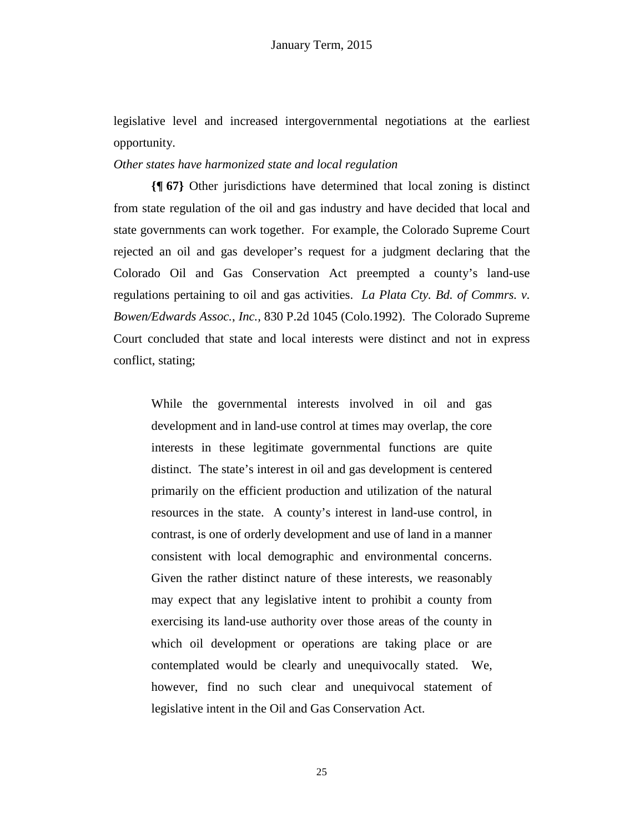legislative level and increased intergovernmental negotiations at the earliest opportunity.

#### *Other states have harmonized state and local regulation*

**{¶ 67}** Other jurisdictions have determined that local zoning is distinct from state regulation of the oil and gas industry and have decided that local and state governments can work together. For example, the Colorado Supreme Court rejected an oil and gas developer's request for a judgment declaring that the Colorado Oil and Gas Conservation Act preempted a county's land-use regulations pertaining to oil and gas activities. *La Plata Cty. Bd. of Commrs. v. Bowen/Edwards Assoc.*, *Inc.,* 830 P.2d 1045 (Colo.1992). The Colorado Supreme Court concluded that state and local interests were distinct and not in express conflict, stating;

While the governmental interests involved in oil and gas development and in land-use control at times may overlap, the core interests in these legitimate governmental functions are quite distinct. The state's interest in oil and gas development is centered primarily on the efficient production and utilization of the natural resources in the state. A county's interest in land-use control, in contrast, is one of orderly development and use of land in a manner consistent with local demographic and environmental concerns. Given the rather distinct nature of these interests, we reasonably may expect that any legislative intent to prohibit a county from exercising its land-use authority over those areas of the county in which oil development or operations are taking place or are contemplated would be clearly and unequivocally stated. We, however, find no such clear and unequivocal statement of legislative intent in the Oil and Gas Conservation Act.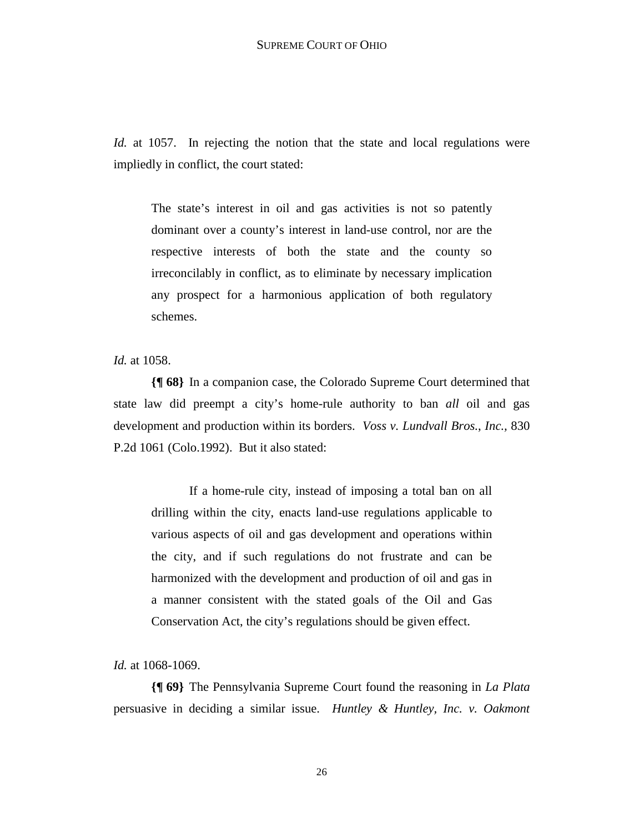*Id.* at 1057. In rejecting the notion that the state and local regulations were impliedly in conflict, the court stated:

The state's interest in oil and gas activities is not so patently dominant over a county's interest in land-use control, nor are the respective interests of both the state and the county so irreconcilably in conflict, as to eliminate by necessary implication any prospect for a harmonious application of both regulatory schemes.

*Id.* at 1058.

**{¶ 68}** In a companion case, the Colorado Supreme Court determined that state law did preempt a city's home-rule authority to ban *all* oil and gas development and production within its borders. *Voss v. Lundvall Bros.*, *Inc.,* 830 P.2d 1061 (Colo.1992). But it also stated:

If a home-rule city, instead of imposing a total ban on all drilling within the city, enacts land-use regulations applicable to various aspects of oil and gas development and operations within the city, and if such regulations do not frustrate and can be harmonized with the development and production of oil and gas in a manner consistent with the stated goals of the Oil and Gas Conservation Act, the city's regulations should be given effect.

*Id.* at 1068-1069.

**{¶ 69}** The Pennsylvania Supreme Court found the reasoning in *La Plata* persuasive in deciding a similar issue. *Huntley & Huntley, Inc. v. Oakmont*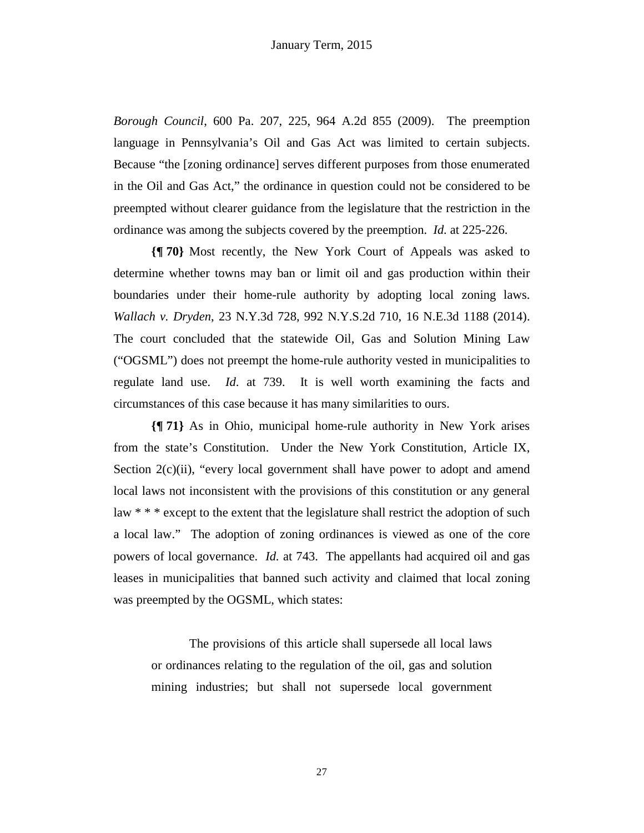*Borough Council*, 600 Pa. 207, 225, 964 A.2d 855 (2009). The preemption language in Pennsylvania's Oil and Gas Act was limited to certain subjects. Because "the [zoning ordinance] serves different purposes from those enumerated in the Oil and Gas Act," the ordinance in question could not be considered to be preempted without clearer guidance from the legislature that the restriction in the ordinance was among the subjects covered by the preemption. *Id.* at 225-226.

**{¶ 70}** Most recently, the New York Court of Appeals was asked to determine whether towns may ban or limit oil and gas production within their boundaries under their home-rule authority by adopting local zoning laws. *Wallach v. Dryden*, 23 N.Y.3d 728, 992 N.Y.S.2d 710, 16 N.E.3d 1188 (2014). The court concluded that the statewide Oil, Gas and Solution Mining Law ("OGSML") does not preempt the home-rule authority vested in municipalities to regulate land use. *Id*. at 739. It is well worth examining the facts and circumstances of this case because it has many similarities to ours.

**{¶ 71}** As in Ohio, municipal home-rule authority in New York arises from the state's Constitution. Under the New York Constitution, Article IX, Section  $2(c)(ii)$ , "every local government shall have power to adopt and amend local laws not inconsistent with the provisions of this constitution or any general law \* \* \* except to the extent that the legislature shall restrict the adoption of such a local law." The adoption of zoning ordinances is viewed as one of the core powers of local governance. *Id.* at 743. The appellants had acquired oil and gas leases in municipalities that banned such activity and claimed that local zoning was preempted by the OGSML, which states:

 The provisions of this article shall supersede all local laws or ordinances relating to the regulation of the oil, gas and solution mining industries; but shall not supersede local government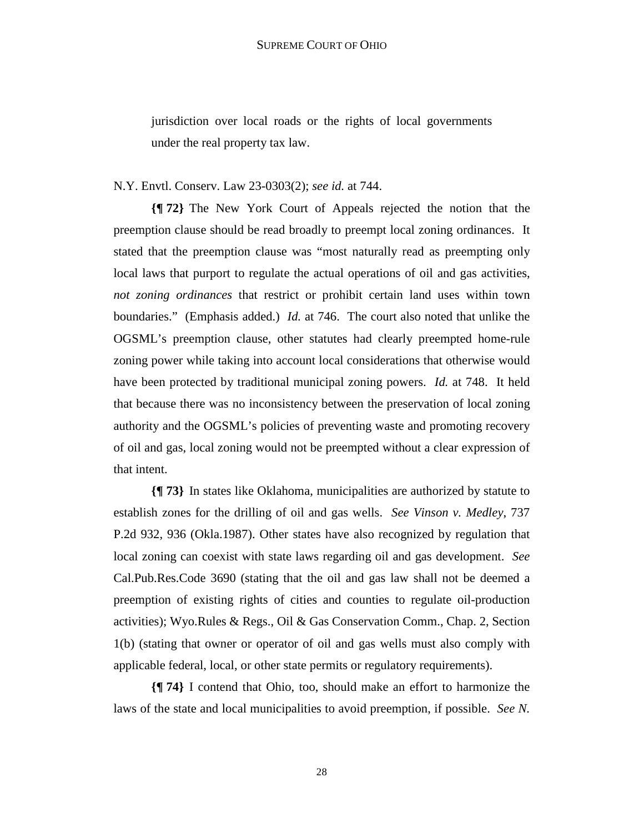jurisdiction over local roads or the rights of local governments under the real property tax law.

#### N.Y. Envtl. Conserv. Law 23-0303(2); *see id.* at 744.

**{¶ 72}** The New York Court of Appeals rejected the notion that the preemption clause should be read broadly to preempt local zoning ordinances. It stated that the preemption clause was "most naturally read as preempting only local laws that purport to regulate the actual operations of oil and gas activities, *not zoning ordinances* that restrict or prohibit certain land uses within town boundaries." (Emphasis added.) *Id.* at 746. The court also noted that unlike the OGSML's preemption clause, other statutes had clearly preempted home-rule zoning power while taking into account local considerations that otherwise would have been protected by traditional municipal zoning powers. *Id.* at 748. It held that because there was no inconsistency between the preservation of local zoning authority and the OGSML's policies of preventing waste and promoting recovery of oil and gas, local zoning would not be preempted without a clear expression of that intent.

**{¶ 73}** In states like Oklahoma, municipalities are authorized by statute to establish zones for the drilling of oil and gas wells. *See Vinson v. Medley*, 737 P.2d 932, 936 (Okla.1987). Other states have also recognized by regulation that local zoning can coexist with state laws regarding oil and gas development. *See*  Cal.Pub.Res.Code 3690 (stating that the oil and gas law shall not be deemed a preemption of existing rights of cities and counties to regulate oil-production activities); Wyo.Rules & Regs., Oil & Gas Conservation Comm., Chap. 2, Section 1(b) (stating that owner or operator of oil and gas wells must also comply with applicable federal, local, or other state permits or regulatory requirements).

**{¶ 74}** I contend that Ohio, too, should make an effort to harmonize the laws of the state and local municipalities to avoid preemption, if possible. *See N.*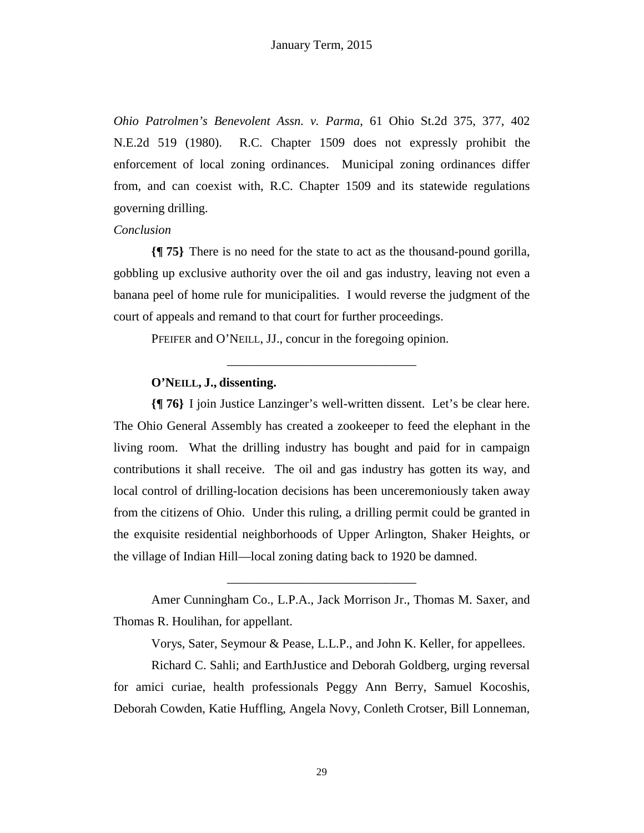*Ohio Patrolmen's Benevolent Assn. v. Parma*, 61 Ohio St.2d 375, 377, 402 N.E.2d 519 (1980). R.C. Chapter 1509 does not expressly prohibit the enforcement of local zoning ordinances. Municipal zoning ordinances differ from, and can coexist with, R.C. Chapter 1509 and its statewide regulations governing drilling.

#### *Conclusion*

**{¶ 75}** There is no need for the state to act as the thousand-pound gorilla, gobbling up exclusive authority over the oil and gas industry, leaving not even a banana peel of home rule for municipalities. I would reverse the judgment of the court of appeals and remand to that court for further proceedings.

\_\_\_\_\_\_\_\_\_\_\_\_\_\_\_\_\_\_\_\_\_\_\_\_\_\_\_\_\_\_

PFEIFER and O'NEILL, JJ., concur in the foregoing opinion.

# **O'NEILL, J., dissenting.**

**{¶ 76}** I join Justice Lanzinger's well-written dissent. Let's be clear here. The Ohio General Assembly has created a zookeeper to feed the elephant in the living room. What the drilling industry has bought and paid for in campaign contributions it shall receive. The oil and gas industry has gotten its way, and local control of drilling-location decisions has been unceremoniously taken away from the citizens of Ohio. Under this ruling, a drilling permit could be granted in the exquisite residential neighborhoods of Upper Arlington, Shaker Heights, or the village of Indian Hill—local zoning dating back to 1920 be damned.

 Amer Cunningham Co., L.P.A., Jack Morrison Jr., Thomas M. Saxer, and Thomas R. Houlihan, for appellant.

\_\_\_\_\_\_\_\_\_\_\_\_\_\_\_\_\_\_\_\_\_\_\_\_\_\_\_\_\_\_

Vorys, Sater, Seymour & Pease, L.L.P., and John K. Keller, for appellees.

 Richard C. Sahli; and EarthJustice and Deborah Goldberg, urging reversal for amici curiae, health professionals Peggy Ann Berry, Samuel Kocoshis, Deborah Cowden, Katie Huffling, Angela Novy, Conleth Crotser, Bill Lonneman,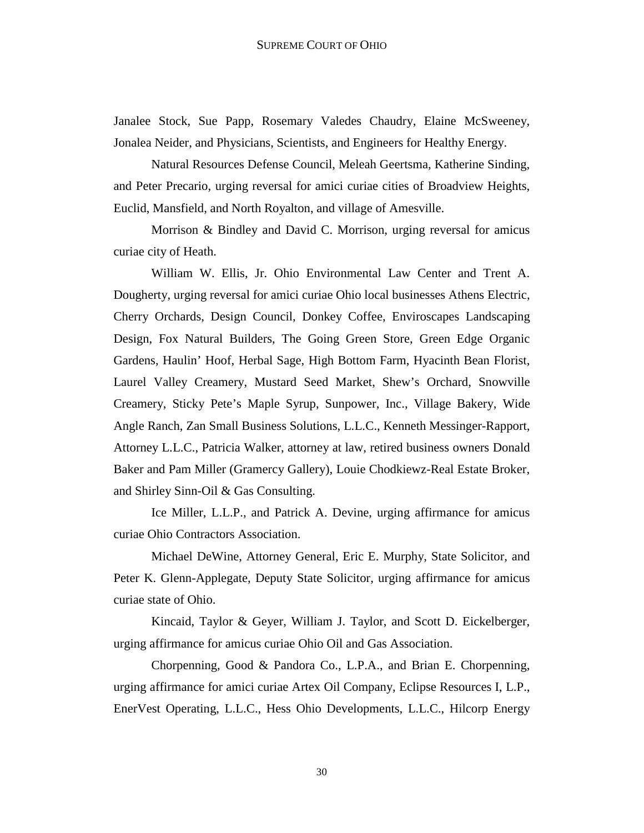Janalee Stock, Sue Papp, Rosemary Valedes Chaudry, Elaine McSweeney, Jonalea Neider, and Physicians, Scientists, and Engineers for Healthy Energy.

 Natural Resources Defense Council, Meleah Geertsma, Katherine Sinding, and Peter Precario, urging reversal for amici curiae cities of Broadview Heights, Euclid, Mansfield, and North Royalton, and village of Amesville.

 Morrison & Bindley and David C. Morrison, urging reversal for amicus curiae city of Heath.

 William W. Ellis, Jr. Ohio Environmental Law Center and Trent A. Dougherty, urging reversal for amici curiae Ohio local businesses Athens Electric, Cherry Orchards, Design Council, Donkey Coffee, Enviroscapes Landscaping Design, Fox Natural Builders, The Going Green Store, Green Edge Organic Gardens, Haulin' Hoof, Herbal Sage, High Bottom Farm, Hyacinth Bean Florist, Laurel Valley Creamery, Mustard Seed Market, Shew's Orchard, Snowville Creamery, Sticky Pete's Maple Syrup, Sunpower, Inc., Village Bakery, Wide Angle Ranch, Zan Small Business Solutions, L.L.C., Kenneth Messinger-Rapport, Attorney L.L.C., Patricia Walker, attorney at law, retired business owners Donald Baker and Pam Miller (Gramercy Gallery), Louie Chodkiewz-Real Estate Broker, and Shirley Sinn-Oil & Gas Consulting.

 Ice Miller, L.L.P., and Patrick A. Devine, urging affirmance for amicus curiae Ohio Contractors Association.

 Michael DeWine, Attorney General, Eric E. Murphy, State Solicitor, and Peter K. Glenn-Applegate, Deputy State Solicitor, urging affirmance for amicus curiae state of Ohio.

 Kincaid, Taylor & Geyer, William J. Taylor, and Scott D. Eickelberger, urging affirmance for amicus curiae Ohio Oil and Gas Association.

 Chorpenning, Good & Pandora Co., L.P.A., and Brian E. Chorpenning, urging affirmance for amici curiae Artex Oil Company, Eclipse Resources I, L.P., EnerVest Operating, L.L.C., Hess Ohio Developments, L.L.C., Hilcorp Energy